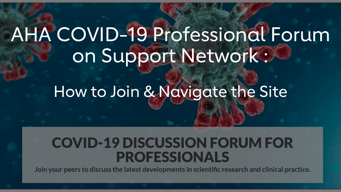# AHA COVID-19 Professional Forum on Support Network :

## How to Join & Navigate the Site

### **COVID-19 DISCUSSION FORUM FOR PROFESSIONALS**

Join your peers to discuss the latest developments in scientific research and clinical practice.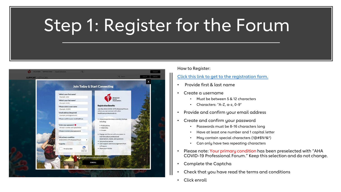## Step 1: Register for the Forum



How to Register:

#### [Click this link to get to the registration form.](https://nam03.safelinks.protection.outlook.com/?url=https%3A%2F%2Fsupportnetwork.heart.org%2Fcovid19professionalforum%2F%23registration&data=02%7C01%7CKatie.Bahn%40heart.org%7C47b32e4839db4f7d56da08d7dbb9d741%7Cceab0fb5f7ff48b4a0d09f76ef96ecf9%7C0%7C0%7C637219463600770205&sdata=NxzavYzT5oC9vzTWCm31uzAbNqZGB4w9wYCvknKG2bU%3D&reserved=0)

- Provide first & last name
- Create a username
	- Must be between 5 & 12 characters
	- Characters: "A-Z, a-z, 0-9"
- Provide and confirm your email address
- Create and confirm your password
	- Passwords must be 8-16 characters long
	- Have at least one number and 1 capital letter
	- May contain special characters (!@#\$%^&\*)
	- Can only have two repeating characters
- Please note: Your primary condition has been preselected with "AHA COVID-19 Professional Forum." Keep this selection and do not change.
- Complete the Captcha
- Check that you have read the terms and conditions
- Click enroll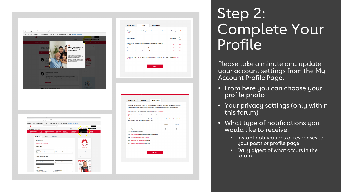

## Step 2: Complete Your Profile

Please take a minute and update your account settings from the My Account Profile Page.

- From here you can choose your profile photo
- Your privacy settings (only within this forum)
- What type of notifications you would like to receive.
	- Instant notifications of responses to your posts or profile page
	- Daily digest of what occurs in the forum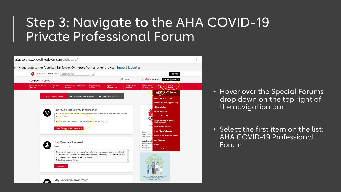### Step 3: Navigate to the AHA COVID-19 Private Professional Forum



- Hover over the Special Forums drop down on the top right of the navigation bar.
- Select the first item on the list: AHA COVID-19 Professional Forum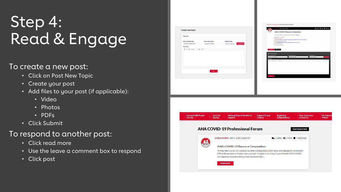## Step 4: Read & Engage

#### To create a new post:

- Click on Post New Topic
- Create your post
- Add files to your post (if applicable):
	- Video
	- Photos
	- PDFs
- Click Submit

#### To respond to another post:

- Click read more
- Use the leave a comment box to respond
- Click post



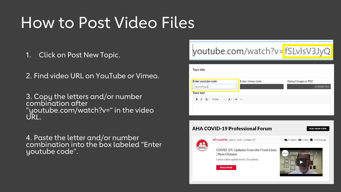## How to Post Video Files

1. Click on Post New Topic.

2. Find video URL on YouTube or Vimeo.

3. Copy the letters and/or number combination after "youtube.com/watch?v=" in the video URL.

4. Paste the letter and/or number combination into the box labeled "Enter youtube code".

### youtube.com/watch?v=fSLvlsV3JyQ

| Topic title                                                                   |                  |                                                                |
|-------------------------------------------------------------------------------|------------------|----------------------------------------------------------------|
| Enter youtube code<br>fSLvIsV3JyQ<br>Topic text                               | Enter vimeo code | Upload image or PDF<br><b>CHOOSE FILE</b>                      |
| <b>B</b> $I$ $\cup$ Format $\cdot$ $\mathbf{A}$ $\cdot$ $\mathbf{B}$ $\infty$ |                  |                                                                |
|                                                                               |                  |                                                                |
| <b>AHA COVID-19 Professional Forum</b><br>POST NEW TOPIC                      |                  |                                                                |
| <b>LPrinceAHA</b> , April 8, 2020 12:08pm EST                                 |                  | $\bigcirc$ O replies $\bigcirc$ 1 view $\bigcirc$ 0 followings |

COVID-19 | Updates from the Front Lines | New Orleans Latest video update from Circulation.

**READ MORE** 

Member

**COVID I Update.**